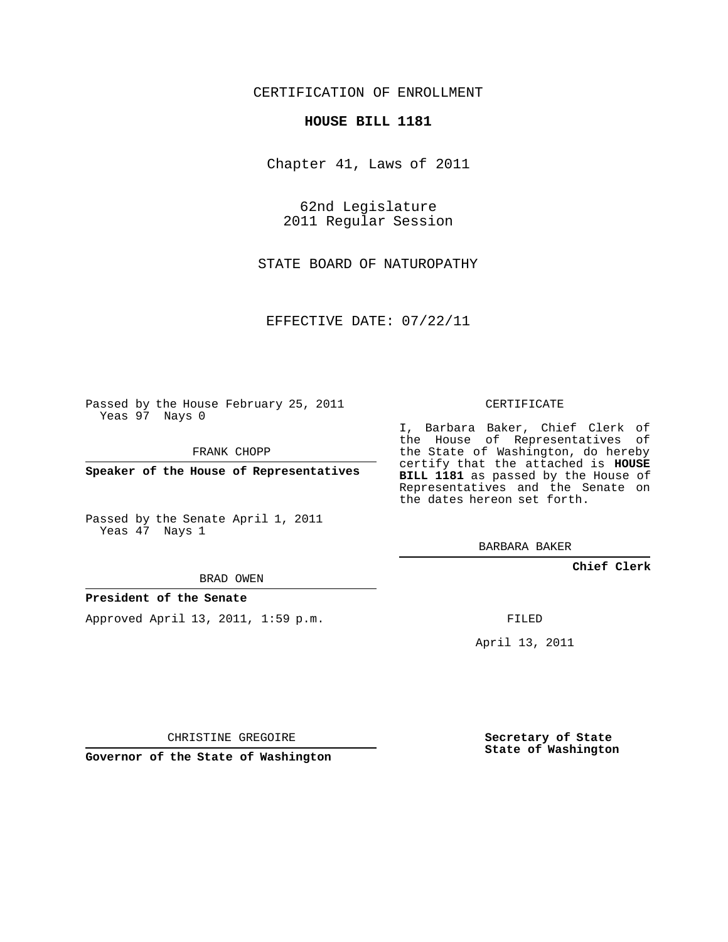## CERTIFICATION OF ENROLLMENT

### **HOUSE BILL 1181**

Chapter 41, Laws of 2011

62nd Legislature 2011 Regular Session

STATE BOARD OF NATUROPATHY

EFFECTIVE DATE: 07/22/11

Passed by the House February 25, 2011 Yeas 97 Nays 0

FRANK CHOPP

**Speaker of the House of Representatives**

Passed by the Senate April 1, 2011 Yeas 47 Nays 1

#### BRAD OWEN

## **President of the Senate**

Approved April 13, 2011, 1:59 p.m.

CERTIFICATE

I, Barbara Baker, Chief Clerk of the House of Representatives of the State of Washington, do hereby certify that the attached is **HOUSE BILL 1181** as passed by the House of Representatives and the Senate on the dates hereon set forth.

BARBARA BAKER

**Chief Clerk**

FILED

April 13, 2011

CHRISTINE GREGOIRE

**Governor of the State of Washington**

**Secretary of State State of Washington**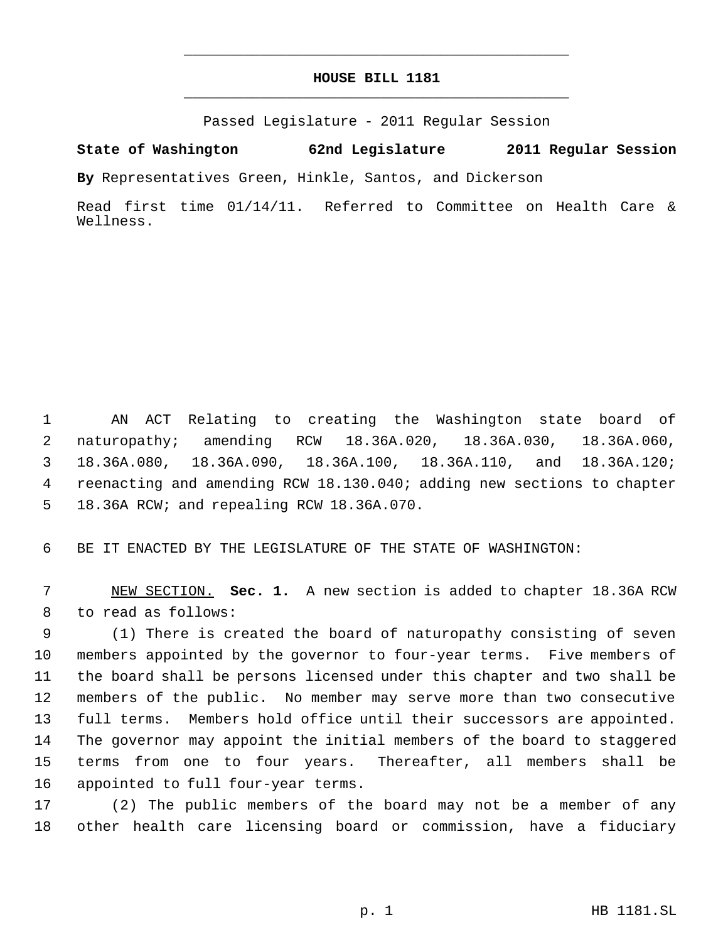# **HOUSE BILL 1181** \_\_\_\_\_\_\_\_\_\_\_\_\_\_\_\_\_\_\_\_\_\_\_\_\_\_\_\_\_\_\_\_\_\_\_\_\_\_\_\_\_\_\_\_\_

\_\_\_\_\_\_\_\_\_\_\_\_\_\_\_\_\_\_\_\_\_\_\_\_\_\_\_\_\_\_\_\_\_\_\_\_\_\_\_\_\_\_\_\_\_

Passed Legislature - 2011 Regular Session

**State of Washington 62nd Legislature 2011 Regular Session**

**By** Representatives Green, Hinkle, Santos, and Dickerson

Read first time 01/14/11. Referred to Committee on Health Care & Wellness.

 AN ACT Relating to creating the Washington state board of naturopathy; amending RCW 18.36A.020, 18.36A.030, 18.36A.060, 18.36A.080, 18.36A.090, 18.36A.100, 18.36A.110, and 18.36A.120; reenacting and amending RCW 18.130.040; adding new sections to chapter 18.36A RCW; and repealing RCW 18.36A.070.

BE IT ENACTED BY THE LEGISLATURE OF THE STATE OF WASHINGTON:

 NEW SECTION. **Sec. 1.** A new section is added to chapter 18.36A RCW to read as follows:

 (1) There is created the board of naturopathy consisting of seven members appointed by the governor to four-year terms. Five members of the board shall be persons licensed under this chapter and two shall be members of the public. No member may serve more than two consecutive full terms. Members hold office until their successors are appointed. The governor may appoint the initial members of the board to staggered terms from one to four years. Thereafter, all members shall be appointed to full four-year terms.

 (2) The public members of the board may not be a member of any other health care licensing board or commission, have a fiduciary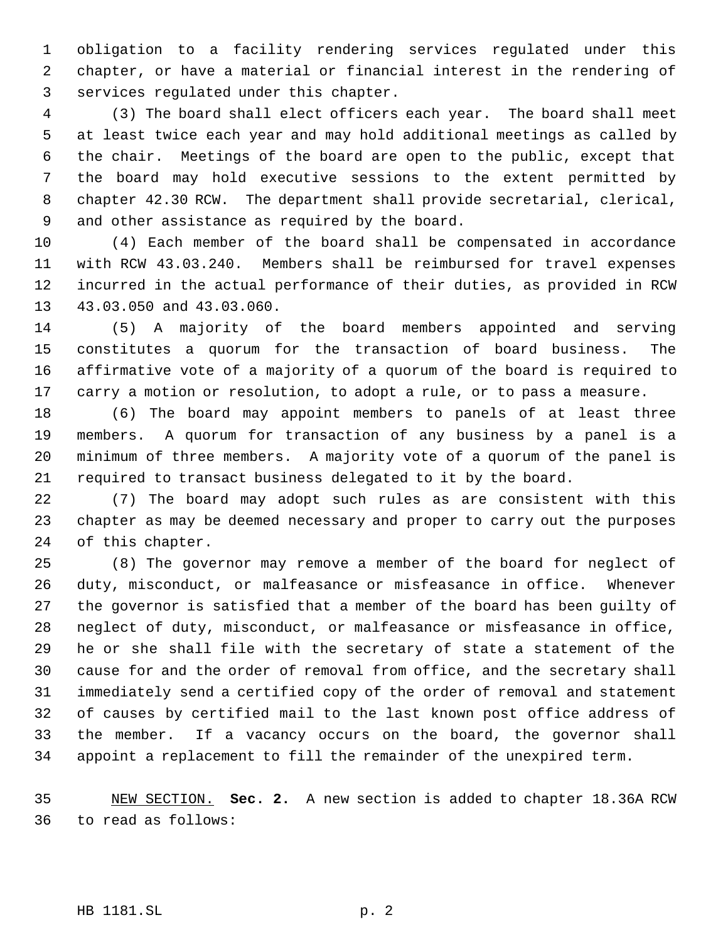obligation to a facility rendering services regulated under this chapter, or have a material or financial interest in the rendering of services regulated under this chapter.

 (3) The board shall elect officers each year. The board shall meet at least twice each year and may hold additional meetings as called by the chair. Meetings of the board are open to the public, except that the board may hold executive sessions to the extent permitted by chapter 42.30 RCW. The department shall provide secretarial, clerical, and other assistance as required by the board.

 (4) Each member of the board shall be compensated in accordance with RCW 43.03.240. Members shall be reimbursed for travel expenses incurred in the actual performance of their duties, as provided in RCW 43.03.050 and 43.03.060.

 (5) A majority of the board members appointed and serving constitutes a quorum for the transaction of board business. The affirmative vote of a majority of a quorum of the board is required to carry a motion or resolution, to adopt a rule, or to pass a measure.

 (6) The board may appoint members to panels of at least three members. A quorum for transaction of any business by a panel is a minimum of three members. A majority vote of a quorum of the panel is required to transact business delegated to it by the board.

 (7) The board may adopt such rules as are consistent with this chapter as may be deemed necessary and proper to carry out the purposes of this chapter.

 (8) The governor may remove a member of the board for neglect of duty, misconduct, or malfeasance or misfeasance in office. Whenever the governor is satisfied that a member of the board has been guilty of neglect of duty, misconduct, or malfeasance or misfeasance in office, he or she shall file with the secretary of state a statement of the cause for and the order of removal from office, and the secretary shall immediately send a certified copy of the order of removal and statement of causes by certified mail to the last known post office address of the member. If a vacancy occurs on the board, the governor shall appoint a replacement to fill the remainder of the unexpired term.

 NEW SECTION. **Sec. 2.** A new section is added to chapter 18.36A RCW to read as follows:

HB 1181.SL p. 2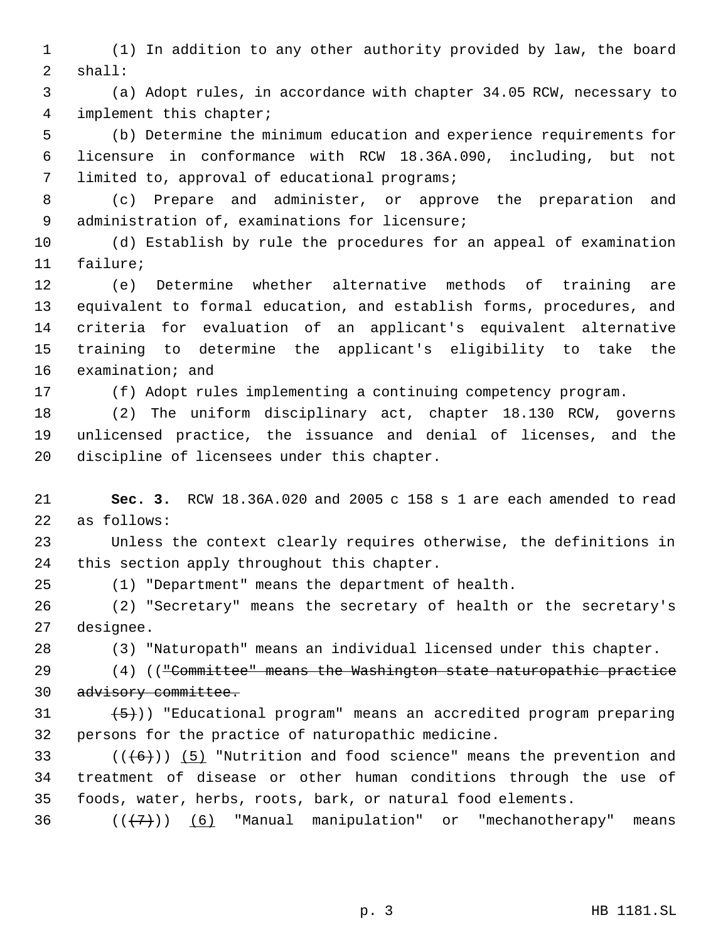(1) In addition to any other authority provided by law, the board shall:

 (a) Adopt rules, in accordance with chapter 34.05 RCW, necessary to implement this chapter;

 (b) Determine the minimum education and experience requirements for licensure in conformance with RCW 18.36A.090, including, but not limited to, approval of educational programs;

 (c) Prepare and administer, or approve the preparation and administration of, examinations for licensure;

 (d) Establish by rule the procedures for an appeal of examination failure;

 (e) Determine whether alternative methods of training are equivalent to formal education, and establish forms, procedures, and criteria for evaluation of an applicant's equivalent alternative training to determine the applicant's eligibility to take the examination; and

(f) Adopt rules implementing a continuing competency program.

 (2) The uniform disciplinary act, chapter 18.130 RCW, governs unlicensed practice, the issuance and denial of licenses, and the discipline of licensees under this chapter.

 **Sec. 3.** RCW 18.36A.020 and 2005 c 158 s 1 are each amended to read as follows:

 Unless the context clearly requires otherwise, the definitions in this section apply throughout this chapter.

(1) "Department" means the department of health.

 (2) "Secretary" means the secretary of health or the secretary's designee.

(3) "Naturopath" means an individual licensed under this chapter.

 (4) (("Committee" means the Washington state naturopathic practice 30 advisory committee.

 $(5)$ )) "Educational program" means an accredited program preparing persons for the practice of naturopathic medicine.

33 ( $(\overline{(+6)})$  (5) "Nutrition and food science" means the prevention and treatment of disease or other human conditions through the use of foods, water, herbs, roots, bark, or natural food elements.

36  $((+7))$   $(6)$  "Manual manipulation" or "mechanotherapy" means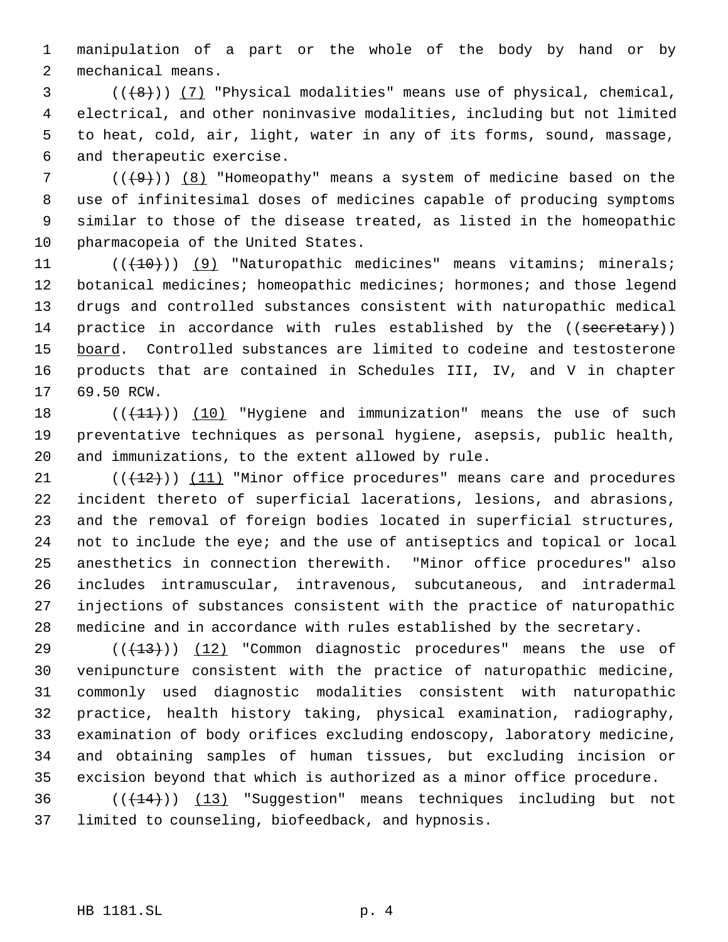manipulation of a part or the whole of the body by hand or by mechanical means.

 ( $(\frac{48}{})$ ) (7) "Physical modalities" means use of physical, chemical, electrical, and other noninvasive modalities, including but not limited to heat, cold, air, light, water in any of its forms, sound, massage, and therapeutic exercise.

 ( $(\frac{49}{})$ ) (8) "Homeopathy" means a system of medicine based on the use of infinitesimal doses of medicines capable of producing symptoms similar to those of the disease treated, as listed in the homeopathic pharmacopeia of the United States.

11 (( $(10)$ ) (9) "Naturopathic medicines" means vitamins; minerals; botanical medicines; homeopathic medicines; hormones; and those legend drugs and controlled substances consistent with naturopathic medical 14 practice in accordance with rules established by the ((secretary)) board. Controlled substances are limited to codeine and testosterone products that are contained in Schedules III, IV, and V in chapter 69.50 RCW.

18  $((+11))$   $(10)$  "Hygiene and immunization" means the use of such preventative techniques as personal hygiene, asepsis, public health, and immunizations, to the extent allowed by rule.

 $((+12))$   $(11)$  "Minor office procedures" means care and procedures incident thereto of superficial lacerations, lesions, and abrasions, and the removal of foreign bodies located in superficial structures, not to include the eye; and the use of antiseptics and topical or local anesthetics in connection therewith. "Minor office procedures" also includes intramuscular, intravenous, subcutaneous, and intradermal injections of substances consistent with the practice of naturopathic medicine and in accordance with rules established by the secretary.

 $((+13))$  (12) "Common diagnostic procedures" means the use of venipuncture consistent with the practice of naturopathic medicine, commonly used diagnostic modalities consistent with naturopathic practice, health history taking, physical examination, radiography, examination of body orifices excluding endoscopy, laboratory medicine, and obtaining samples of human tissues, but excluding incision or excision beyond that which is authorized as a minor office procedure.

36 (( $(14)$ )) (13) "Suggestion" means techniques including but not limited to counseling, biofeedback, and hypnosis.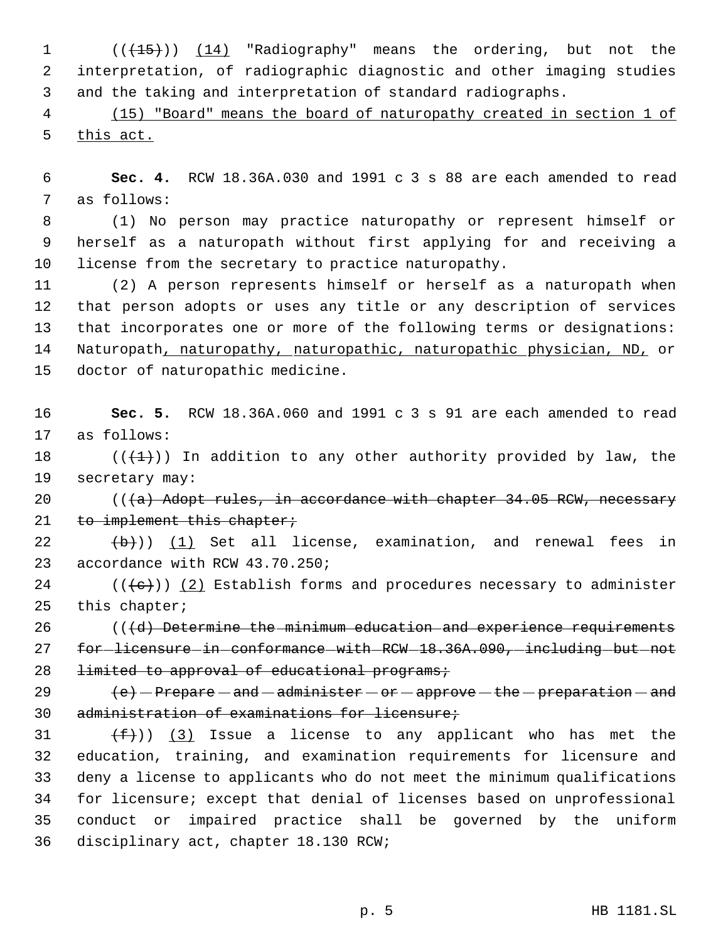1 (( $\left(\frac{15}{15}\right)$ ) (14) "Radiography" means the ordering, but not the interpretation, of radiographic diagnostic and other imaging studies and the taking and interpretation of standard radiographs.

 (15) "Board" means the board of naturopathy created in section 1 of this act.

 **Sec. 4.** RCW 18.36A.030 and 1991 c 3 s 88 are each amended to read as follows:

 (1) No person may practice naturopathy or represent himself or herself as a naturopath without first applying for and receiving a license from the secretary to practice naturopathy.

 (2) A person represents himself or herself as a naturopath when that person adopts or uses any title or any description of services that incorporates one or more of the following terms or designations: 14 Naturopath, naturopathy, naturopathic, naturopathic physician, ND, or doctor of naturopathic medicine.

 **Sec. 5.** RCW 18.36A.060 and 1991 c 3 s 91 are each amended to read as follows:

18 ( $(\overline{+1})$ ) In addition to any other authority provided by law, the secretary may:

 $((a)$  Adopt rules, in accordance with chapter 34.05 RCW, necessary 21 to implement this chapter;

  $(\frac{b}{b})$ )  $(1)$  Set all license, examination, and renewal fees in accordance with RCW 43.70.250;

24 ( $(\langle e \rangle)$ ) (2) Establish forms and procedures necessary to administer this chapter;

 (( $\{d\}$ ) Determine the minimum education and experience requirements 27 for licensure in conformance with RCW 18.36A.090, including but not 28 limited to approval of educational programs;

 $\left(e\right)$  - Prepare - and - administer - or - approve - the - preparation - and administration of examinations for licensure;

 $(f)$ ) (3) Issue a license to any applicant who has met the education, training, and examination requirements for licensure and deny a license to applicants who do not meet the minimum qualifications for licensure; except that denial of licenses based on unprofessional conduct or impaired practice shall be governed by the uniform disciplinary act, chapter 18.130 RCW;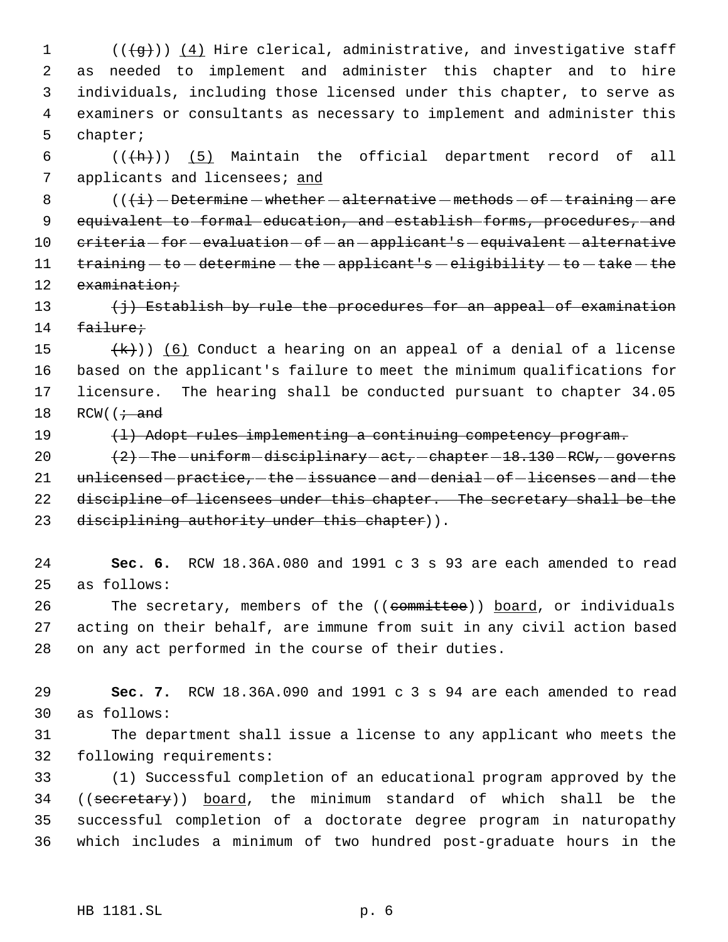1 (((g)) (4) Hire clerical, administrative, and investigative staff as needed to implement and administer this chapter and to hire individuals, including those licensed under this chapter, to serve as examiners or consultants as necessary to implement and administer this chapter;

6  $((+h))$   $(5)$  Maintain the official department record of all 7 applicants and licensees; and

8  $($   $($   $\{$ i $)$   $-$  Determine  $-$  whether  $-$  alternative  $-$  methods  $-$  of  $-$  training  $-$  are 9 equivalent to formal education, and establish forms, procedures, and 10 criteria for evaluation of an applicant's equivalent alternative 11  $training - to - determine - the - applicant's - eligibility - to - take - the$ 12 examination;

13  $\{\frac{1}{7}\}$  Establish by rule the procedures for an appeal of examination 14 failure;

 $(\kappa)$ ) (6) Conduct a hearing on an appeal of a denial of a license based on the applicant's failure to meet the minimum qualifications for licensure. The hearing shall be conducted pursuant to chapter 34.05 18 RCW( $\left(i + \text{and}\right)$ 

19 (1) Adopt rules implementing a continuing competency program.

20  $(2)$  -The -uniform -disciplinary -act, -chapter -18.130 -RCW, -governs 21 unlicensed-practice,-the-issuance-and-denial-of-licenses-and-the 22 discipline of licensees under this chapter. The secretary shall be the 23 disciplining authority under this chapter)).

24 **Sec. 6.** RCW 18.36A.080 and 1991 c 3 s 93 are each amended to read 25 as follows:

26 The secretary, members of the ((committee)) board, or individuals 27 acting on their behalf, are immune from suit in any civil action based 28 on any act performed in the course of their duties.

29 **Sec. 7.** RCW 18.36A.090 and 1991 c 3 s 94 are each amended to read 30 as follows:

31 The department shall issue a license to any applicant who meets the 32 following requirements:

 (1) Successful completion of an educational program approved by the ((secretary)) board, the minimum standard of which shall be the successful completion of a doctorate degree program in naturopathy which includes a minimum of two hundred post-graduate hours in the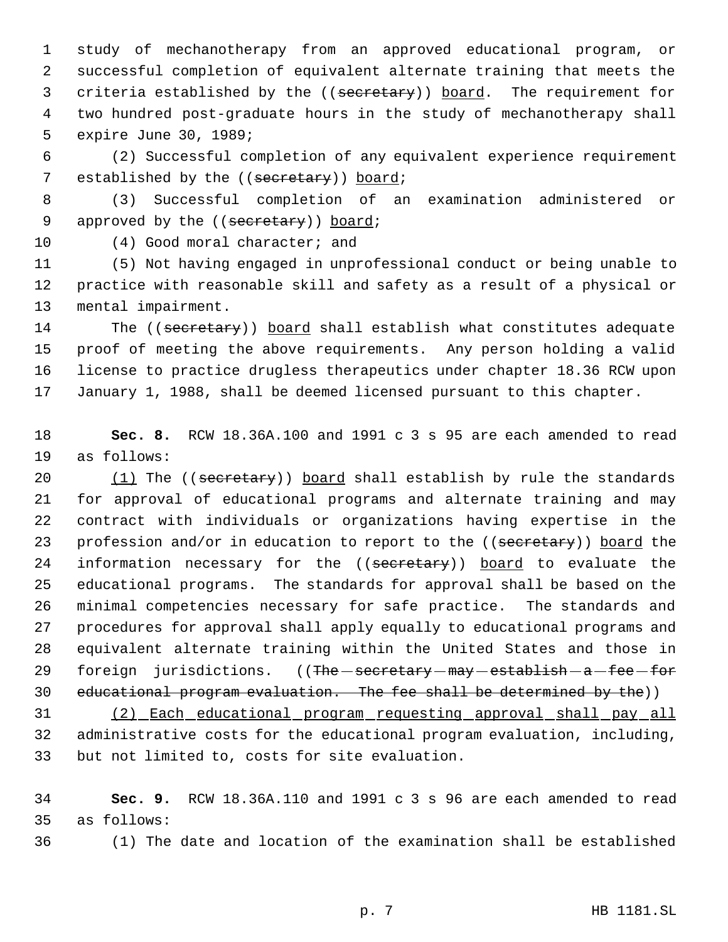study of mechanotherapy from an approved educational program, or successful completion of equivalent alternate training that meets the 3 criteria established by the ((secretary)) board. The requirement for two hundred post-graduate hours in the study of mechanotherapy shall expire June 30, 1989;

 (2) Successful completion of any equivalent experience requirement 7 established by the ((secretary)) board;

 (3) Successful completion of an examination administered or 9 approved by the ((secretary)) board;

(4) Good moral character; and

 (5) Not having engaged in unprofessional conduct or being unable to practice with reasonable skill and safety as a result of a physical or mental impairment.

14 The ((secretary)) board shall establish what constitutes adequate proof of meeting the above requirements. Any person holding a valid license to practice drugless therapeutics under chapter 18.36 RCW upon January 1, 1988, shall be deemed licensed pursuant to this chapter.

 **Sec. 8.** RCW 18.36A.100 and 1991 c 3 s 95 are each amended to read as follows:

20 (1) The ((secretary)) board shall establish by rule the standards for approval of educational programs and alternate training and may contract with individuals or organizations having expertise in the 23 profession and/or in education to report to the ((secretary)) board the 24 information necessary for the ((secretary)) board to evaluate the educational programs. The standards for approval shall be based on the minimal competencies necessary for safe practice. The standards and procedures for approval shall apply equally to educational programs and equivalent alternate training within the United States and those in 29 foreign jurisdictions. ((The secretary  $\text{max}$  - establish - a -fee -for 30 educational program evaluation. The fee shall be determined by the))

 (2) Each educational program requesting approval shall pay all administrative costs for the educational program evaluation, including, but not limited to, costs for site evaluation.

 **Sec. 9.** RCW 18.36A.110 and 1991 c 3 s 96 are each amended to read as follows:

(1) The date and location of the examination shall be established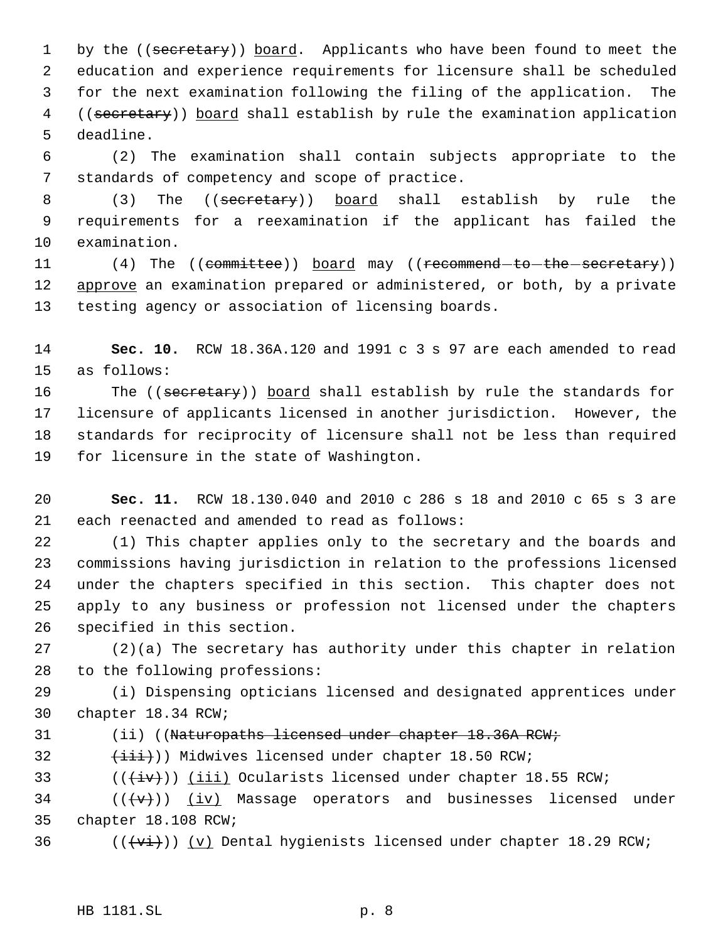1 by the ((secretary)) board. Applicants who have been found to meet the education and experience requirements for licensure shall be scheduled for the next examination following the filing of the application. The 4 ((secretary)) board shall establish by rule the examination application deadline.

 (2) The examination shall contain subjects appropriate to the standards of competency and scope of practice.

8 (3) The ((secretary)) board shall establish by rule the requirements for a reexamination if the applicant has failed the examination.

11 (4) The ((committee)) board may ((recommend-to-the-secretary)) 12 approve an examination prepared or administered, or both, by a private testing agency or association of licensing boards.

 **Sec. 10.** RCW 18.36A.120 and 1991 c 3 s 97 are each amended to read as follows:

16 The ((secretary)) board shall establish by rule the standards for licensure of applicants licensed in another jurisdiction. However, the standards for reciprocity of licensure shall not be less than required for licensure in the state of Washington.

 **Sec. 11.** RCW 18.130.040 and 2010 c 286 s 18 and 2010 c 65 s 3 are each reenacted and amended to read as follows:

 (1) This chapter applies only to the secretary and the boards and commissions having jurisdiction in relation to the professions licensed under the chapters specified in this section. This chapter does not apply to any business or profession not licensed under the chapters specified in this section.

 (2)(a) The secretary has authority under this chapter in relation to the following professions:

 (i) Dispensing opticians licensed and designated apprentices under chapter 18.34 RCW;

- 31 (ii) ((Naturopaths licensed under chapter 18.36A RCW;
- 32  $(i\text{iii})$ ) Midwives licensed under chapter 18.50 RCW;

33  $((\overleftrightarrow{iv}))$  (iii) Ocularists licensed under chapter 18.55 RCW;

34  $((\langle v\rangle))$  (iv) Massage operators and businesses licensed under chapter 18.108 RCW;

36  $((\overline{\forall i}))(y)$  Dental hygienists licensed under chapter 18.29 RCW;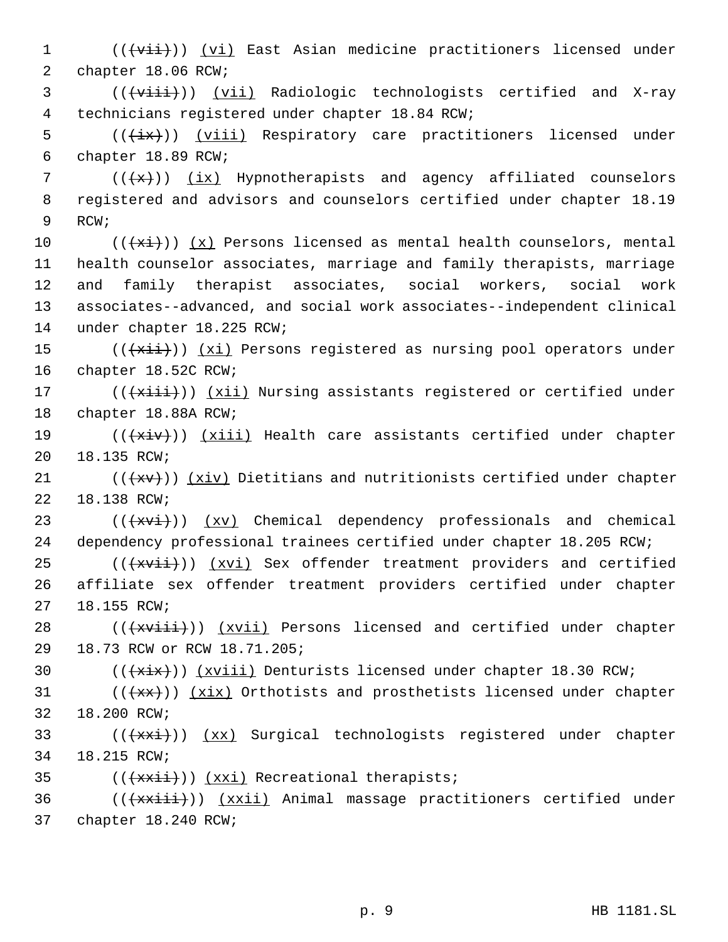1 (((vii)) (vi) East Asian medicine practitioners licensed under chapter 18.06 RCW; 3 (((viii))) (vii) Radiologic technologists certified and X-ray technicians registered under chapter 18.84 RCW; 5 (( $\frac{1}{x}$ )) (viii) Respiratory care practitioners licensed under chapter 18.89 RCW;  $((+x))$   $(ix)$  Hypnotherapists and agency affiliated counselors registered and advisors and counselors certified under chapter 18.19 9 RCW;  $((+x\text{if}))$  (x) Persons licensed as mental health counselors, mental health counselor associates, marriage and family therapists, marriage and family therapist associates, social workers, social work associates--advanced, and social work associates--independent clinical under chapter 18.225 RCW;  $((\overline{\text{xiii}}))$   $(\overline{\text{xi}})$  Persons registered as nursing pool operators under chapter 18.52C RCW; 17 (( $\overline{+x\text{iii}}$ )) (xii) Nursing assistants registered or certified under chapter 18.88A RCW; 19 (( $\overline{+xiv})$ ) (xiii) Health care assistants certified under chapter 18.135 RCW;  $((+x+))$   $(xiv)$  Dietitians and nutritionists certified under chapter 18.138 RCW;  $((+x\overline{x}))(x\overline{y})$  Chemical dependency professionals and chemical dependency professional trainees certified under chapter 18.205 RCW; (( $\overleftrightarrow{xvii})$ ) ( $xvi$ ) Sex offender treatment providers and certified affiliate sex offender treatment providers certified under chapter 18.155 RCW; 28 (( $\{\overline{xviii}\})$  ( $xvii$ ) Persons licensed and certified under chapter 18.73 RCW or RCW 18.71.205; 30 (( $\overleftrightarrow{xx}$ )) (xviii) Denturists licensed under chapter 18.30 RCW;  $((+x+))$   $(xix)$  Orthotists and prosthetists licensed under chapter 18.200 RCW; 33 (( $\frac{1}{x}$ )) (xx) Surgical technologists registered under chapter 18.215 RCW; 35 (( $\frac{+}{x\cdot i}$ )) (xxi) Recreational therapists; 36 (( $\{\star\mathtt{x}\mathtt{x}\mathtt{i}\mathtt{i}\})$ ) (xxii) Animal massage practitioners certified under chapter 18.240 RCW;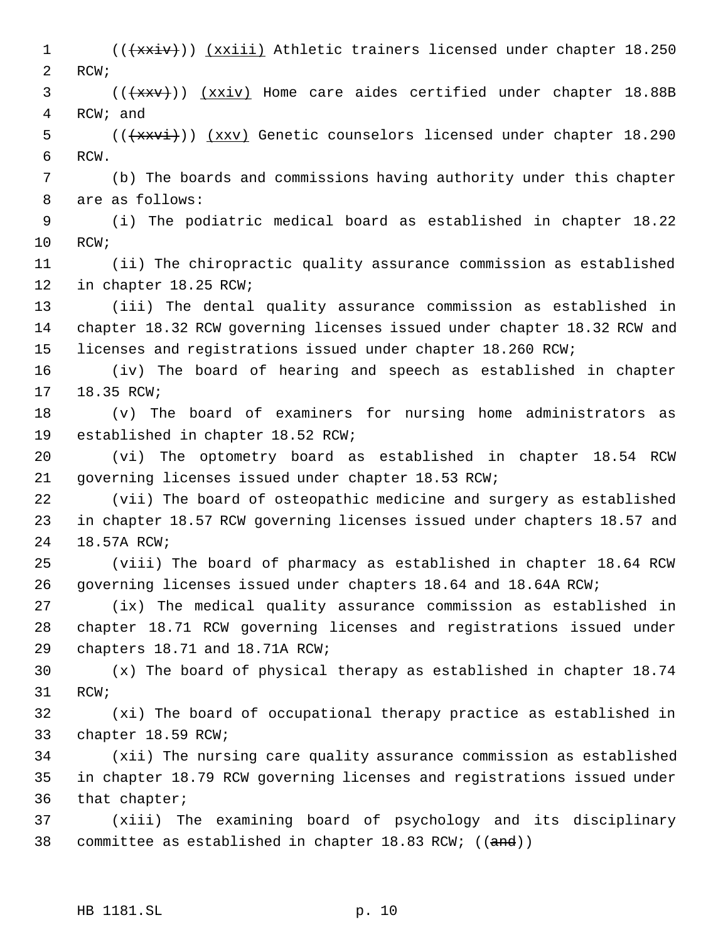1 (( $\{\star\mathbf{x}$ iv)) ( $\{x$ xiii) Athletic trainers licensed under chapter 18.250 RCW; 3 (( $\frac{1}{x}$  (( $\frac{1}{x}$ )) ( $\frac{x}{y}$ ) Home care aides certified under chapter 18.88B RCW; and 5 (( $\frac{1}{200}$  (( $\frac{1}{200}$  ( $\frac{1}{200}$ ) (xxv) Genetic counselors licensed under chapter 18.290 RCW. (b) The boards and commissions having authority under this chapter are as follows: (i) The podiatric medical board as established in chapter 18.22 RCW; (ii) The chiropractic quality assurance commission as established in chapter 18.25 RCW; (iii) The dental quality assurance commission as established in chapter 18.32 RCW governing licenses issued under chapter 18.32 RCW and licenses and registrations issued under chapter 18.260 RCW; (iv) The board of hearing and speech as established in chapter 18.35 RCW; (v) The board of examiners for nursing home administrators as established in chapter 18.52 RCW; (vi) The optometry board as established in chapter 18.54 RCW governing licenses issued under chapter 18.53 RCW; (vii) The board of osteopathic medicine and surgery as established in chapter 18.57 RCW governing licenses issued under chapters 18.57 and 18.57A RCW; (viii) The board of pharmacy as established in chapter 18.64 RCW governing licenses issued under chapters 18.64 and 18.64A RCW; (ix) The medical quality assurance commission as established in chapter 18.71 RCW governing licenses and registrations issued under chapters 18.71 and 18.71A RCW; (x) The board of physical therapy as established in chapter 18.74 RCW; (xi) The board of occupational therapy practice as established in chapter 18.59 RCW; (xii) The nursing care quality assurance commission as established in chapter 18.79 RCW governing licenses and registrations issued under that chapter; (xiii) The examining board of psychology and its disciplinary 38 committee as established in chapter  $18.83$  RCW; ((and))